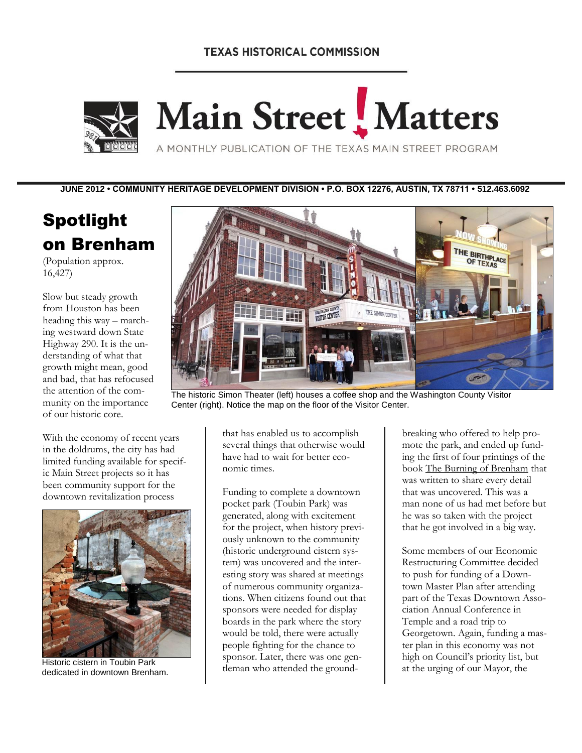# **TEXAS HISTORICAL COMMISSION**



# Main Street<sup>I</sup>, Matters

A MONTHLY PUBLICATION OF THE TEXAS MAIN STREET PROGRAM

**JUNE 2012 • COMMUNITY HERITAGE DEVELOPMENT DIVISION • P.O. BOX 12276, AUSTIN, TX 78711 • 512.463.6092**

# Spotlight on Brenham

(Population approx. 16,427)

Slow but steady growth from Houston has been heading this way – marching westward down State Highway 290. It is the understanding of what that growth might mean, good and bad, that has refocused the attention of the community on the importance of our historic core.



The historic Simon Theater (left) houses a coffee shop and the Washington County Visitor Center (right). Notice the map on the floor of the Visitor Center.

With the economy of recent years in the doldrums, the city has had limited funding available for specific Main Street projects so it has been community support for the downtown revitalization process



dedicated in downtown Brenham.

that has enabled us to accomplish several things that otherwise would have had to wait for better economic times.

Funding to complete a downtown pocket park (Toubin Park) was generated, along with excitement for the project, when history previously unknown to the community (historic underground cistern system) was uncovered and the interesting story was shared at meetings of numerous community organizations. When citizens found out that sponsors were needed for display boards in the park where the story would be told, there were actually people fighting for the chance to sponsor. Later, there was one gen-Historic cistern in Toubin Park<br>
dedicated in downtown Brenham leman who attended the ground-<br>
Historic cistern in Toubin Park<br>
dedicated in downtown Brenham leman who attended the ground-<br>
at the urging of our Mayor, the

breaking who offered to help promote the park, and ended up funding the first of four printings of the book The Burning of Brenham that was written to share every detail that was uncovered. This was a man none of us had met before but he was so taken with the project that he got involved in a big way.

Some members of our Economic Restructuring Committee decided to push for funding of a Downtown Master Plan after attending part of the Texas Downtown Association Annual Conference in Temple and a road trip to Georgetown. Again, funding a master plan in this economy was not high on Council's priority list, but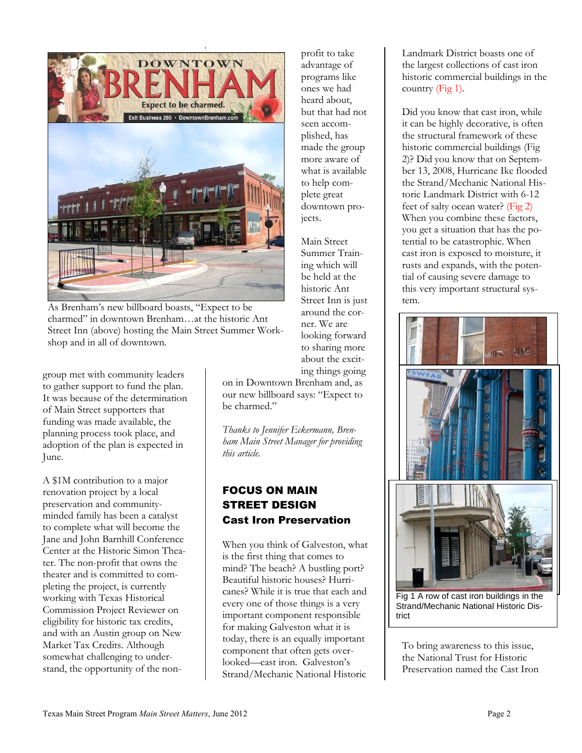

As Brenham's new billboard boasts, "Expect to be charmed" in downtown Brenham…at the historic Ant Street Inn (above) hosting the Main Street Summer Workshop and in all of downtown.

group met with community leaders to gather support to fund the plan. It was because of the determination of Main Street supporters that funding was made available, the planning process took place, and adoption of the plan is expected in June.

A \$1M contribution to a major renovation project by a local preservation and communityminded family has been a catalyst to complete what will become the Jane and John Barnhill Conference Center at the Historic Simon Theater. The non-profit that owns the theater and is committed to completing the project, is currently working with Texas Historical Commission Project Reviewer on eligibility for historic tax credits, and with an Austin group on New Market Tax Credits. Although somewhat challenging to understand, the opportunity of the nonprofit to take advantage of programs like ones we had heard about, but that had not seen accomplished, has made the group more aware of what is available to help complete great downtown projects.

Main Street Summer Training which will be held at the historic Ant Street Inn is just around the corner. We are looking forward to sharing more about the exciting things going

on in Downtown Brenham and, as our new billboard says: "Expect to be charmed."

*Thanks to Jennifer Eckermann, Brenham Main Street Manager for providing this article.*

# FOCUS ON MAIN STREET DESIGN Cast Iron Preservation

When you think of Galveston, what is the first thing that comes to mind? The beach? A bustling port? Beautiful historic houses? Hurricanes? While it is true that each and every one of those things is a very important component responsible for making Galveston what it is today, there is an equally important component that often gets overlooked—cast iron. Galveston's Strand/Mechanic National Historic

Landmark District boasts one of the largest collections of cast iron historic commercial buildings in the country (Fig 1).

Did you know that cast iron, while it can be highly decorative, is often the structural framework of these historic commercial buildings (Fig 2)? Did you know that on September 13, 2008, Hurricane Ike flooded the Strand/Mechanic National Historic Landmark District with 6-12 feet of salty ocean water? (Fig 2) When you combine these factors, you get a situation that has the potential to be catastrophic. When cast iron is exposed to moisture, it rusts and expands, with the potential of causing severe damage to this very important structural system.



Fig 1 A row of cast iron buildings in the Strand/Mechanic National Historic District

To bring awareness to this issue, the National Trust for Historic Preservation named the Cast Iron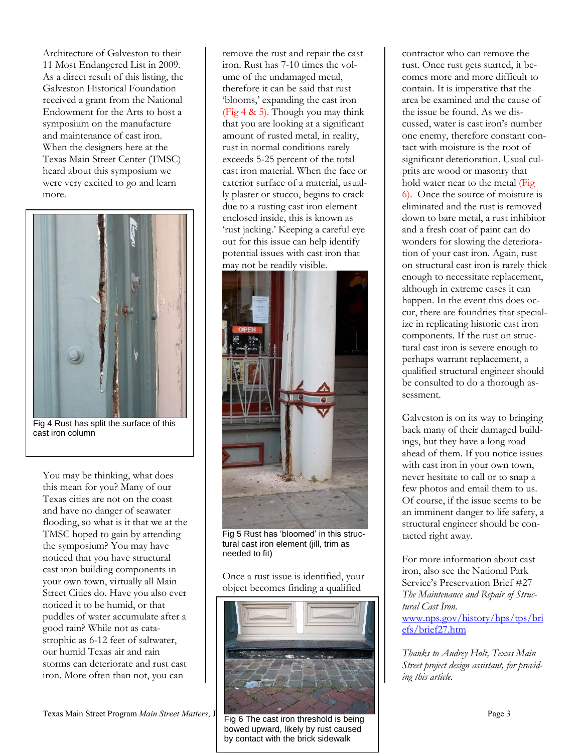Architecture of Galveston to their 11 Most Endangered List in 2009. As a direct result of this listing, the Galveston Historical Foundation received a grant from the National Endowment for the Arts to host a symposium on the manufacture and maintenance of cast iron. When the designers here at the Texas Main Street Center (TMSC) heard about this symposium we were very excited to go and learn more.



Fig 4 Rust has split the surface of this cast iron column

You may be thinking, what does this mean for you? Many of our Texas cities are not on the coast and have no danger of seawater flooding, so what is it that we at the TMSC hoped to gain by attending the symposium? You may have noticed that you have structural cast iron building components in your own town, virtually all Main Street Cities do. Have you also ever noticed it to be humid, or that puddles of water accumulate after a good rain? While not as catastrophic as 6-12 feet of saltwater, our humid Texas air and rain storms can deteriorate and rust cast iron. More often than not, you can

Texas Main Street Program *Main Street Matters*, J **Program 2012 Page 3** Page 3

remove the rust and repair the cast iron. Rust has 7-10 times the volume of the undamaged metal, therefore it can be said that rust 'blooms,' expanding the cast iron (Fig  $4 \& 5$ ). Though you may think that you are looking at a significant amount of rusted metal, in reality, rust in normal conditions rarely exceeds 5-25 percent of the total cast iron material. When the face or exterior surface of a material, usually plaster or stucco, begins to crack due to a rusting cast iron element enclosed inside, this is known as 'rust jacking.' Keeping a careful eye out for this issue can help identify potential issues with cast iron that may not be readily visible.



Fig 5 Rust has 'bloomed' in this structural cast iron element (jill, trim as needed to fit)

Once a rust issue is identified, your object becomes finding a qualified



Fig 6 The cast iron threshold is being bowed upward, likely by rust caused by contact with the brick sidewalk

contractor who can remove the rust. Once rust gets started, it becomes more and more difficult to contain. It is imperative that the area be examined and the cause of the issue be found. As we discussed, water is cast iron's number one enemy, therefore constant contact with moisture is the root of significant deterioration. Usual culprits are wood or masonry that hold water near to the metal (Fig 6). Once the source of moisture is eliminated and the rust is removed down to bare metal, a rust inhibitor and a fresh coat of paint can do wonders for slowing the deterioration of your cast iron. Again, rust on structural cast iron is rarely thick enough to necessitate replacement, although in extreme cases it can happen. In the event this does occur, there are foundries that specialize in replicating historic cast iron components. If the rust on structural cast iron is severe enough to perhaps warrant replacement, a qualified structural engineer should be consulted to do a thorough assessment.

Galveston is on its way to bringing back many of their damaged buildings, but they have a long road ahead of them. If you notice issues with cast iron in your own town, never hesitate to call or to snap a few photos and email them to us. Of course, if the issue seems to be an imminent danger to life safety, a structural engineer should be contacted right away.

For more information about cast iron, also see the National Park Service's Preservation Brief #27 *The Maintenance and Repair of Structural Cast Iron.* [www.nps.gov/history/hps/tps/bri](http://www.nps.gov/history/hps/tps/briefs/brief27.htm) [efs/brief27.htm](http://www.nps.gov/history/hps/tps/briefs/brief27.htm)

*Thanks to Audrey Holt, Texas Main Street project design assistant, for providing this article.*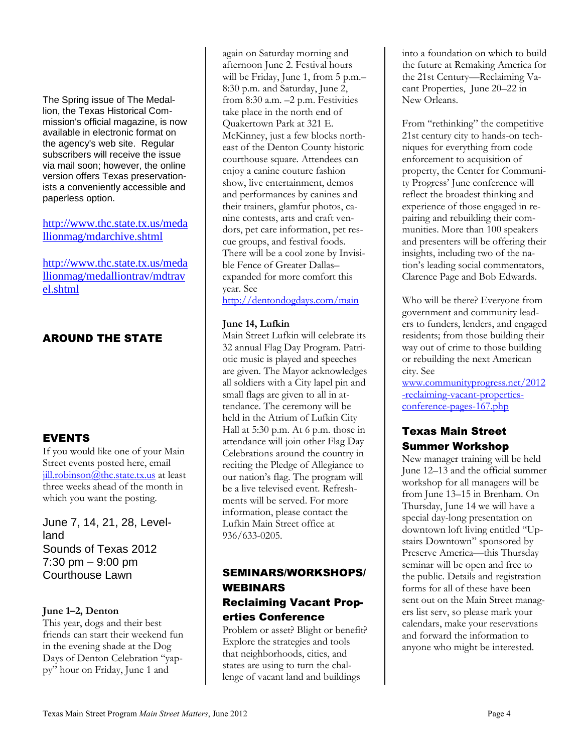The Spring issue of The Medallion, the Texas Historical Commission's official magazine, is now available in electronic format on the agency's web site. Regular subscribers will receive the issue via mail soon; however, the online version offers Texas preservationists a conveniently accessible and paperless option.

[http://www.thc.state.tx.us/meda](http://www.thc.state.tx.us/medallionmag/mdarchive.shtml) [llionmag/mdarchive.shtml](http://www.thc.state.tx.us/medallionmag/mdarchive.shtml)

[http://www.thc.state.tx.us/meda](http://www.thc.state.tx.us/medallionmag/medalliontrav/mdtravel.shtml) [llionmag/medalliontrav/mdtrav](http://www.thc.state.tx.us/medallionmag/medalliontrav/mdtravel.shtml) [el.shtml](http://www.thc.state.tx.us/medallionmag/medalliontrav/mdtravel.shtml)

# AROUND THE STATE

# EVENTS

If you would like one of your Main Street events posted here, email [jill.robinson@thc.state.tx.us](mailto:jill.robinson@thc.state.tx.us) at least three weeks ahead of the month in which you want the posting.

June 7, 14, 21, 28, Levelland Sounds of Texas 2012 7:30 pm – 9:00 pm Courthouse Lawn

# **June 1–2, Denton**

This year, dogs and their best friends can start their weekend fun in the evening shade at the Dog Days of Denton Celebration "yappy" hour on Friday, June 1 and

again on Saturday morning and afternoon June 2. Festival hours will be Friday, June 1, from 5 p.m.– 8:30 p.m. and Saturday, June 2, from 8:30 a.m. –2 p.m. Festivities take place in the north end of Quakertown Park at 321 E. McKinney, just a few blocks northeast of the Denton County historic courthouse square. Attendees can enjoy a canine couture fashion show, live entertainment, demos and performances by canines and their trainers, glamfur photos, canine contests, arts and craft vendors, pet care information, pet rescue groups, and festival foods. There will be a cool zone by Invisible Fence of Greater Dallas– expanded for more comfort this year. See

<http://dentondogdays.com/main>

#### **June 14, Lufkin**

Main Street Lufkin will celebrate its 32 annual Flag Day Program. Patriotic music is played and speeches are given. The Mayor acknowledges all soldiers with a City lapel pin and small flags are given to all in attendance. The ceremony will be held in the Atrium of Lufkin City Hall at 5:30 p.m. At 6 p.m. those in attendance will join other Flag Day Celebrations around the country in reciting the Pledge of Allegiance to our nation's flag. The program will be a live televised event. Refreshments will be served. For more information, please contact the Lufkin Main Street office at 936/633-0205.

# SEMINARS/WORKSHOPS/ WEBINARS Reclaiming Vacant Prop-

erties Conference

Problem or asset? Blight or benefit? Explore the strategies and tools that neighborhoods, cities, and states are using to turn the challenge of vacant land and buildings

into a foundation on which to build the future at Remaking America for the 21st Century—[Reclaiming Va](http://www.communityprogress.net/2012-reclaiming-vacant-properties-conference-pages-167.php)[cant Properties,](http://www.communityprogress.net/2012-reclaiming-vacant-properties-conference-pages-167.php) June 20–22 in New Orleans.

From "rethinking" the competitive 21st century city to hands-on techniques for everything from code enforcement to acquisition of property, the Center for Community Progress' June conference will reflect the broadest thinking and experience of those engaged in repairing and rebuilding their communities. More than 100 speakers and presenters will be offering their insights, including two of the nation's leading social commentators, [Clarence Page and Bob Edwards.](http://www.communityprogress.net/headline-speakers-pages-195.php)

Who will be there? Everyone from government and community leaders to funders, lenders, and engaged residents; from those building their way out of crime to those building or rebuilding the next American city. See

[www.communityprogress.net/2012](http://www.communityprogress.net/2012-reclaiming-vacant-properties-conference-pages-167.php) [-reclaiming-vacant-properties](http://www.communityprogress.net/2012-reclaiming-vacant-properties-conference-pages-167.php)[conference-pages-167.php](http://www.communityprogress.net/2012-reclaiming-vacant-properties-conference-pages-167.php)

# Texas Main Street Summer Workshop

New manager training will be held June 12–13 and the official summer workshop for all managers will be from June 13–15 in Brenham. On Thursday, June 14 we will have a special day-long presentation on downtown loft living entitled "Upstairs Downtown" sponsored by Preserve America—this Thursday seminar will be open and free to the public. Details and registration forms for all of these have been sent out on the Main Street managers list serv, so please mark your calendars, make your reservations and forward the information to anyone who might be interested.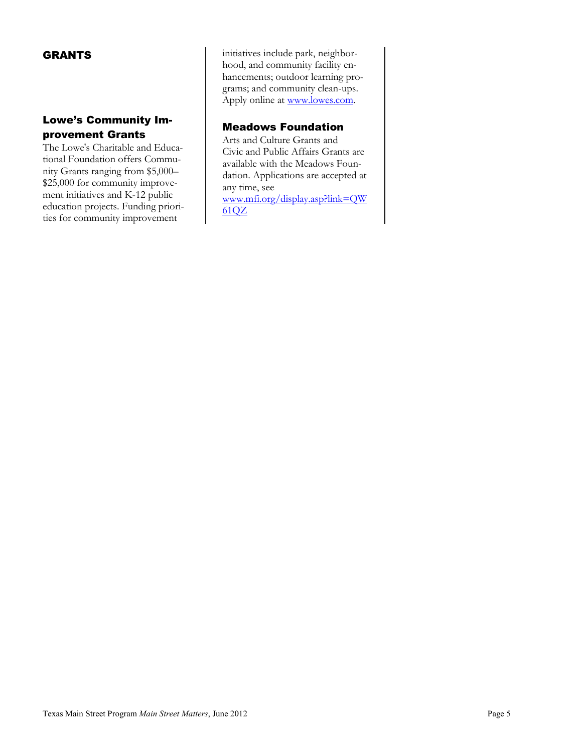## GRANTS

# Lowe's Community Improvement Grants

The Lowe's Charitable and Educational Foundation offers Community Grants ranging from \$5,000– \$25,000 for community improvement initiatives and K-12 public education projects. Funding priorities for community improvement

initiatives include park, neighborhood, and community facility enhancements; outdoor learning programs; and community clean-ups. Apply online at [www.lowes.com.](http://www.lowes.com/)

# Meadows Foundation

Arts and Culture Grants and Civic and Public Affairs Grants are available with the Meadows Foundation. Applications are accepted at any time, see [www.mfi.org/display.asp?link=QW](http://www.mfi.org/display.asp?link=QW61QZ) [61QZ](http://www.mfi.org/display.asp?link=QW61QZ)